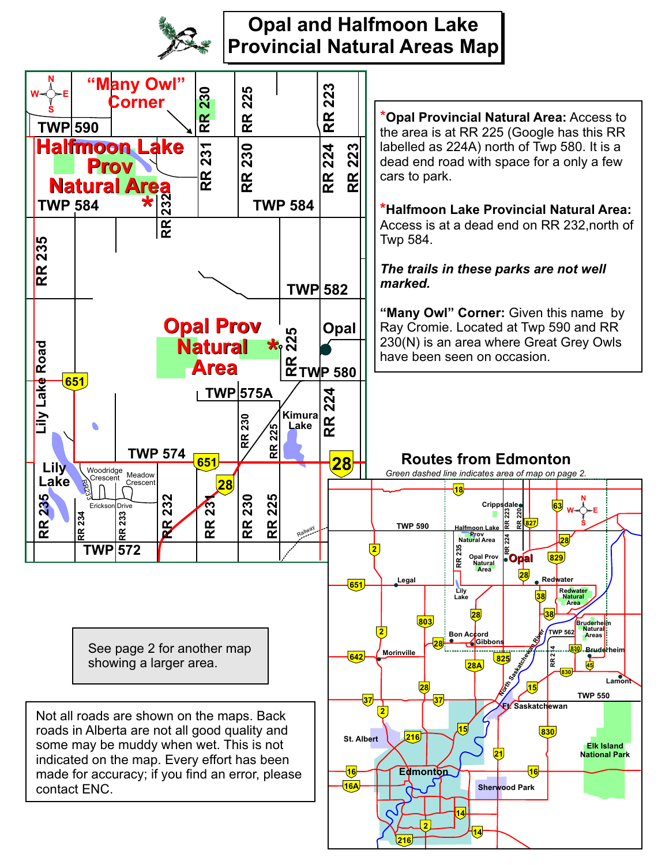